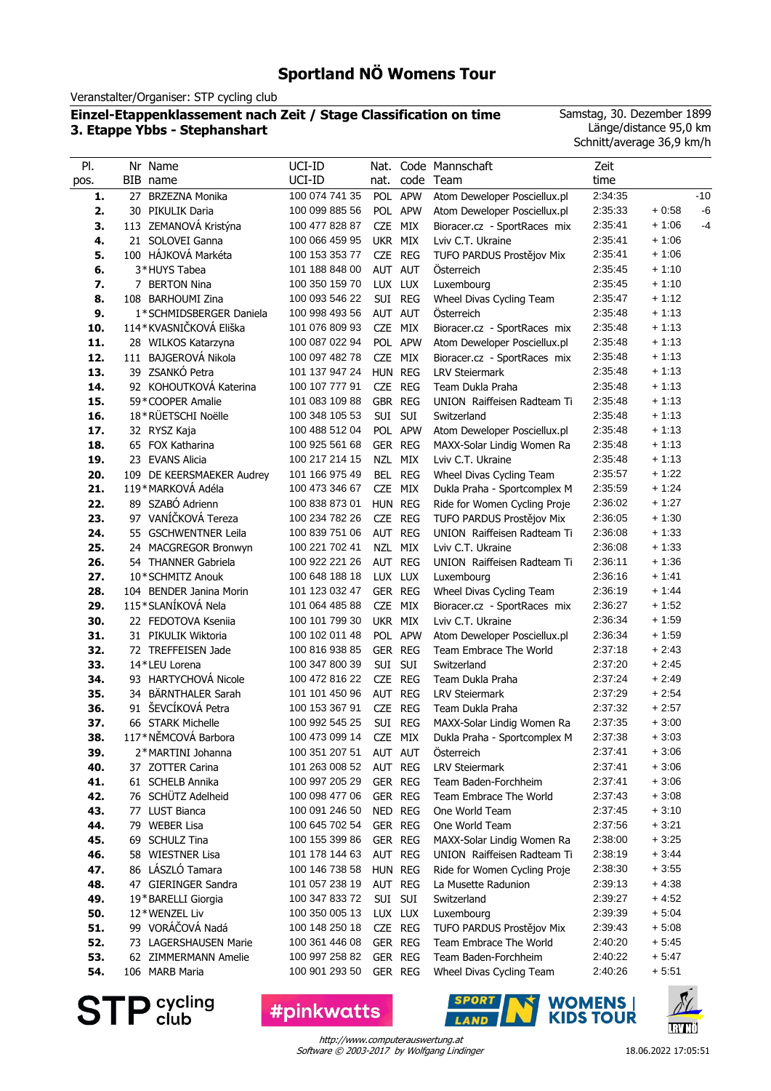Veranstalter/Organiser: STP cycling club

#### **Einzel-Etappenklassement nach Zeit / Stage Classification on time 3. Etappe Ybbs - Stephanshart**

Samstag, 30. Dezember 1899 Länge/distance 95,0 km Schnitt/average 36,9 km/h

| PI.        | Nr Name                                     | UCI-ID                           | Nat.               |         | Code Mannschaft                                  | Zeit               |                    |       |
|------------|---------------------------------------------|----------------------------------|--------------------|---------|--------------------------------------------------|--------------------|--------------------|-------|
| pos.       | BIB name                                    | UCI-ID                           | nat.               |         | code Team                                        | time               |                    |       |
| 1.         | 27 BRZEZNA Monika                           | 100 074 741 35                   |                    | POL APW | Atom Deweloper Posciellux.pl                     | 2:34:35            |                    | $-10$ |
| 2.         | 30 PIKULIK Daria                            | 100 099 885 56                   |                    | POL APW | Atom Deweloper Posciellux.pl                     | 2:35:33            | $+0.58$            | $-6$  |
| 3.         | 113 ZEMANOVÁ Kristýna                       | 100 477 828 87                   | CZE MIX            |         | Bioracer.cz - SportRaces mix                     | 2:35:41            | $+1:06$            | -4    |
| 4.         | 21 SOLOVEI Ganna                            | 100 066 459 95                   | UKR MIX            |         | Lviv C.T. Ukraine                                | 2:35:41            | $+1:06$            |       |
| 5.         | 100 HÁJKOVÁ Markéta                         | 100 153 353 77                   | CZE REG            |         | TUFO PARDUS Prostějov Mix                        | 2:35:41            | $+1:06$            |       |
| 6.         | 3*HUYS Tabea                                | 101 188 848 00                   | AUT AUT            |         | Österreich                                       | 2:35:45            | $+1:10$            |       |
| 7.         | 7 BERTON Nina                               | 100 350 159 70                   | LUX LUX            |         | Luxembourg                                       | 2:35:45            | $+1:10$            |       |
| 8.         | 108 BARHOUMI Zina                           | 100 093 546 22                   | SUI REG            |         | Wheel Divas Cycling Team                         | 2:35:47            | $+1:12$            |       |
| 9.         | 1*SCHMIDSBERGER Daniela                     | 100 998 493 56                   | AUT AUT            |         | Österreich                                       | 2:35:48            | $+1:13$            |       |
| 10.        | 114*KVASNIČKOVÁ Eliška                      | 101 076 809 93                   | CZE MIX            |         | Bioracer.cz - SportRaces mix                     | 2:35:48            | $+1:13$            |       |
| 11.        | 28 WILKOS Katarzyna                         | 100 087 022 94                   |                    | POL APW | Atom Deweloper Posciellux.pl                     | 2:35:48            | $+1:13$            |       |
| 12.        | 111 BAJGEROVÁ Nikola                        | 100 097 482 78                   | CZE MIX            |         | Bioracer.cz - SportRaces mix                     | 2:35:48            | $+1:13$            |       |
| 13.        | 39 ZSANKÓ Petra                             | 101 137 947 24                   | HUN REG            |         | <b>LRV Steiermark</b>                            | 2:35:48            | $+1:13$            |       |
| 14.        | 92 KOHOUTKOVÁ Katerina                      | 100 107 777 91                   | CZE REG            |         | Team Dukla Praha                                 | 2:35:48            | $+1:13$            |       |
| 15.        | 59*COOPER Amalie                            | 101 083 109 88                   | GBR REG            |         | UNION Raiffeisen Radteam Ti                      | 2:35:48            | $+1:13$            |       |
| 16.        | 18*RÜETSCHI Noëlle                          | 100 348 105 53                   | SUI SUI            |         | Switzerland                                      | 2:35:48            | $+1:13$            |       |
| 17.        | 32 RYSZ Kaja                                | 100 488 512 04                   |                    | POL APW | Atom Deweloper Posciellux.pl                     | 2:35:48            | $+1:13$            |       |
| 18.        | 65 FOX Katharina                            | 100 925 561 68                   | GER REG            |         | MAXX-Solar Lindig Women Ra                       | 2:35:48            | $+1:13$            |       |
| 19.        | 23 EVANS Alicia                             | 100 217 214 15                   | NZL MIX            |         | Lviv C.T. Ukraine                                | 2:35:48            | $+1:13$            |       |
| 20.        | 109 DE KEERSMAEKER Audrey                   | 101 166 975 49                   | BEL REG            |         | Wheel Divas Cycling Team                         | 2:35:57            | $+1:22$            |       |
| 21.        | 119*MARKOVÁ Adéla<br>89 SZABÓ Adrienn       | 100 473 346 67                   | CZE MIX<br>HUN REG |         | Dukla Praha - Sportcomplex M                     | 2:35:59            | $+1:24$            |       |
| 22.        | 97 VANÍČKOVÁ Tereza                         | 100 838 873 01                   |                    |         | Ride for Women Cycling Proje                     | 2:36:02            | $+1:27$            |       |
| 23.        |                                             | 100 234 782 26<br>100 839 751 06 | CZE REG<br>AUT REG |         | TUFO PARDUS Prostějov Mix                        | 2:36:05<br>2:36:08 | $+1:30$<br>$+1:33$ |       |
| 24.        | 55 GSCHWENTNER Leila                        | 100 221 702 41                   | NZL MIX            |         | UNION Raiffeisen Radteam Ti<br>Lviv C.T. Ukraine | 2:36:08            | $+1:33$            |       |
| 25.<br>26. | 24 MACGREGOR Bronwyn<br>54 THANNER Gabriela | 100 922 221 26                   | AUT REG            |         | UNION Raiffeisen Radteam Ti                      | 2:36:11            | $+1:36$            |       |
| 27.        | 10*SCHMITZ Anouk                            | 100 648 188 18                   | LUX LUX            |         | Luxembourg                                       | 2:36:16            | $+1:41$            |       |
| 28.        | 104 BENDER Janina Morin                     | 101 123 032 47                   | GER REG            |         | Wheel Divas Cycling Team                         | 2:36:19            | $+1:44$            |       |
| 29.        | 115*SLANÍKOVÁ Nela                          | 101 064 485 88                   | CZE MIX            |         | Bioracer.cz - SportRaces mix                     | 2:36:27            | $+1:52$            |       |
| 30.        | 22 FEDOTOVA Kseniia                         | 100 101 799 30                   | UKR MIX            |         | Lviv C.T. Ukraine                                | 2:36:34            | $+1:59$            |       |
| 31.        | 31 PIKULIK Wiktoria                         | 100 102 011 48                   |                    | POL APW | Atom Deweloper Posciellux.pl                     | 2:36:34            | $+1:59$            |       |
| 32.        | 72 TREFFEISEN Jade                          | 100 816 938 85                   | GER REG            |         | Team Embrace The World                           | 2:37:18            | $+2:43$            |       |
| 33.        | 14*LEU Lorena                               | 100 347 800 39                   | SUI SUI            |         | Switzerland                                      | 2:37:20            | $+2:45$            |       |
| 34.        | 93 HARTYCHOVÁ Nicole                        | 100 472 816 22                   | CZE REG            |         | Team Dukla Praha                                 | 2:37:24            | $+2:49$            |       |
| 35.        | 34 BÄRNTHALER Sarah                         | 101 101 450 96                   | AUT REG            |         | <b>LRV Steiermark</b>                            | 2:37:29            | $+2:54$            |       |
| 36.        | 91 ŠEVCÍKOVÁ Petra                          | 100 153 367 91                   | CZE REG            |         | Team Dukla Praha                                 | 2:37:32            | $+2:57$            |       |
| 37.        | 66 STARK Michelle                           | 100 992 545 25                   |                    | SUI REG | MAXX-Solar Lindig Women Ra                       | 2:37:35            | $+3:00$            |       |
| 38.        | 117*NĚMCOVÁ Barbora                         | 100 473 099 14 CZE MIX           |                    |         | Dukla Praha - Sportcomplex M                     | 2:37:38            | $+3:03$            |       |
| 39.        | 2*MARTINI Johanna                           | 100 351 207 51                   |                    | AUT AUT | Österreich                                       | 2:37:41            | $+3:06$            |       |
| 40.        | 37 ZOTTER Carina                            | 101 263 008 52                   | AUT REG            |         | <b>LRV Steiermark</b>                            | 2:37:41            | $+3:06$            |       |
| 41.        | 61 SCHELB Annika                            | 100 997 205 29                   | GER REG            |         | Team Baden-Forchheim                             | 2:37:41            | $+3:06$            |       |
| 42.        | 76 SCHÜTZ Adelheid                          | 100 098 477 06                   | GER REG            |         | Team Embrace The World                           | 2:37:43            | $+3:08$            |       |
| 43.        | 77 LUST Bianca                              | 100 091 246 50                   | NED REG            |         | One World Team                                   | 2:37:45            | $+3:10$            |       |
| 44.        | 79 WEBER Lisa                               | 100 645 702 54                   | GER REG            |         | One World Team                                   | 2:37:56            | $+3.21$            |       |
| 45.        | 69 SCHULZ Tina                              | 100 155 399 86                   | GER REG            |         | MAXX-Solar Lindig Women Ra                       | 2:38:00            | $+3:25$            |       |
| 46.        | 58 WIESTNER Lisa                            | 101 178 144 63                   | AUT REG            |         | UNION Raiffeisen Radteam Ti                      | 2:38:19            | $+3:44$            |       |
| 47.        | 86 LÁSZLÓ Tamara                            | 100 146 738 58                   | HUN REG            |         | Ride for Women Cycling Proje                     | 2:38:30            | + 3:55             |       |
| 48.        | 47 GIERINGER Sandra                         | 101 057 238 19                   | AUT REG            |         | La Musette Radunion                              | 2:39:13            | $+4:38$            |       |
| 49.        | 19*BARELLI Giorgia                          | 100 347 833 72                   | SUI SUI            |         | Switzerland                                      | 2:39:27            | $+4:52$            |       |
| 50.        | 12*WENZEL Liv                               | 100 350 005 13                   | LUX LUX            |         | Luxembourg                                       | 2:39:39            | $+5:04$            |       |
| 51.        | 99 VORÁČOVÁ Nadá                            | 100 148 250 18                   | CZE REG            |         | TUFO PARDUS Prostějov Mix                        | 2:39:43            | $+5:08$            |       |
| 52.        | 73 LAGERSHAUSEN Marie                       | 100 361 446 08                   | GER REG            |         | Team Embrace The World                           | 2:40:20            | $+5.45$            |       |
| 53.        | 62 ZIMMERMANN Amelie                        | 100 997 258 82                   | GER REG            |         | Team Baden-Forchheim                             | 2:40:22            | $+5.47$            |       |
| 54.        | 106 MARB Maria                              | 100 901 293 50                   | GER REG            |         | Wheel Divas Cycling Team                         | 2:40:26            | $+5:51$            |       |

**STP** Sycling

**#pinkwatts** 



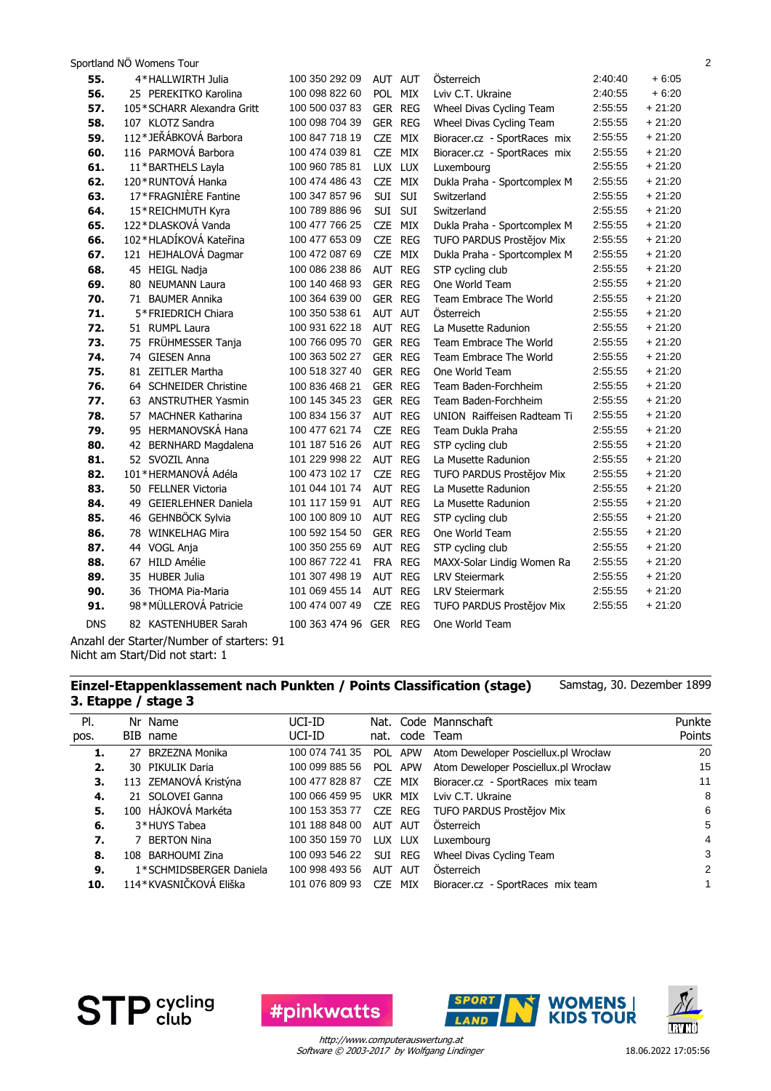| 55.        | 4*HALLWIRTH Julia                         | 100 350 292 09         | AUT AUT                  | Österreich                   | 2:40:40 | $+6:05$  |
|------------|-------------------------------------------|------------------------|--------------------------|------------------------------|---------|----------|
| 56.        | 25 PEREKITKO Karolina                     | 100 098 822 60         | POL MIX                  | Lviv C.T. Ukraine            | 2:40:55 | $+6:20$  |
| 57.        | 105*SCHARR Alexandra Gritt                | 100 500 037 83         | GER REG                  | Wheel Divas Cycling Team     | 2:55:55 | $+21:20$ |
| 58.        | 107 KLOTZ Sandra                          | 100 098 704 39         | GER REG                  | Wheel Divas Cycling Team     | 2:55:55 | $+21:20$ |
| 59.        | 112*JEŘÁBKOVÁ Barbora                     | 100 847 718 19         | CZE MIX                  | Bioracer.cz - SportRaces mix | 2:55:55 | $+21:20$ |
| 60.        | 116 PARMOVÁ Barbora                       | 100 474 039 81         | CZE MIX                  | Bioracer.cz - SportRaces mix | 2:55:55 | $+21:20$ |
| 61.        | 11*BARTHELS Layla                         | 100 960 785 81         | LUX LUX                  | Luxembourg                   | 2:55:55 | $+21:20$ |
| 62.        | 120 * RUNTOVÁ Hanka                       | 100 474 486 43         | CZE MIX                  | Dukla Praha - Sportcomplex M | 2:55:55 | $+21:20$ |
| 63.        | 17*FRAGNIÈRE Fantine                      | 100 347 857 96         | SUI SUI                  | Switzerland                  | 2:55:55 | $+21:20$ |
| 64.        | 15*REICHMUTH Kyra                         | 100 789 886 96         | SUI SUI                  | Switzerland                  | 2:55:55 | $+21:20$ |
| 65.        | 122*DLASKOVÁ Vanda                        | 100 477 766 25         | CZE MIX                  | Dukla Praha - Sportcomplex M | 2:55:55 | $+21:20$ |
| 66.        | 102*HLADÍKOVÁ Kateřina                    | 100 477 653 09         | CZE REG                  | TUFO PARDUS Prostějov Mix    | 2:55:55 | $+21:20$ |
| 67.        | 121 HEJHALOVÁ Dagmar                      | 100 472 087 69         | CZE MIX                  | Dukla Praha - Sportcomplex M | 2:55:55 | $+21:20$ |
| 68.        | 45 HEIGL Nadja                            | 100 086 238 86         | AUT REG                  | STP cycling club             | 2:55:55 | $+21:20$ |
| 69.        | 80 NEUMANN Laura                          | 100 140 468 93         | GER REG                  | One World Team               | 2:55:55 | $+21:20$ |
| 70.        | 71 BAUMER Annika                          | 100 364 639 00         | GER REG                  | Team Embrace The World       | 2:55:55 | $+21:20$ |
| 71.        | 5*FRIEDRICH Chiara                        | 100 350 538 61         | AUT AUT                  | <b>Osterreich</b>            | 2:55:55 | $+21:20$ |
| 72.        | 51 RUMPL Laura                            | 100 931 622 18         | AUT REG                  | La Musette Radunion          | 2:55:55 | $+21:20$ |
| 73.        | 75 FRÜHMESSER Tanja                       | 100 766 095 70         | GER REG                  | Team Embrace The World       | 2:55:55 | $+21:20$ |
| 74.        | 74 GIESEN Anna                            | 100 363 502 27         | GER REG                  | Team Embrace The World       | 2:55:55 | $+21:20$ |
| 75.        | 81 ZEITLER Martha                         | 100 518 327 40         | GER REG                  | One World Team               | 2:55:55 | $+21:20$ |
| 76.        | 64 SCHNEIDER Christine                    | 100 836 468 21         | GER REG                  | Team Baden-Forchheim         | 2:55:55 | $+21:20$ |
| 77.        | 63 ANSTRUTHER Yasmin                      | 100 145 345 23         | GER REG                  | Team Baden-Forchheim         | 2:55:55 | $+21:20$ |
| 78.        | 57 MACHNER Katharina                      | 100 834 156 37         | AUT REG                  | UNION Raiffeisen Radteam Ti  | 2:55:55 | $+21:20$ |
| 79.        | 95 HERMANOVSKÁ Hana                       | 100 477 621 74         | CZE REG                  | Team Dukla Praha             | 2:55:55 | $+21:20$ |
| 80.        | 42 BERNHARD Magdalena                     | 101 187 516 26         | AUT REG                  | STP cycling club             | 2:55:55 | $+21:20$ |
| 81.        | 52 SVOZIL Anna                            | 101 229 998 22         | AUT REG                  | La Musette Radunion          | 2:55:55 | $+21:20$ |
| 82.        | 101*HERMANOVÁ Adéla                       | 100 473 102 17         | CZE REG                  | TUFO PARDUS Prostějov Mix    | 2:55:55 | $+21:20$ |
| 83.        | 50 FELLNER Victoria                       | 101 044 101 74         | AUT REG                  | La Musette Radunion          | 2:55:55 | $+21:20$ |
| 84.        | 49 GEIERLEHNER Daniela                    | 101 117 159 91         | AUT REG                  | La Musette Radunion          | 2:55:55 | $+21:20$ |
| 85.        | 46 GEHNBÖCK Sylvia                        | 100 100 809 10         | AUT REG                  | STP cycling club             | 2:55:55 | $+21:20$ |
| 86.        | 78 WINKELHAG Mira                         | 100 592 154 50         | GER REG                  | One World Team               | 2:55:55 | $+21:20$ |
| 87.        | 44 VOGL Anja                              | 100 350 255 69         | AUT REG                  | STP cycling club             | 2:55:55 | $+21:20$ |
| 88.        | 67 HILD Amélie                            | 100 867 722 41         | FRA REG                  | MAXX-Solar Lindig Women Ra   | 2:55:55 | $+21:20$ |
| 89.        | 35 HUBER Julia                            | 101 307 498 19         | AUT REG                  | <b>LRV Steiermark</b>        | 2:55:55 | $+21:20$ |
| 90.        | 36 THOMA Pia-Maria                        | 101 069 455 14         | AUT REG                  | <b>LRV Steiermark</b>        | 2:55:55 | $+21:20$ |
| 91.        | 98*MÜLLEROVÁ Patricie                     | 100 474 007 49         | <b>CZE</b><br><b>REG</b> | TUFO PARDUS Prostějov Mix    | 2:55:55 | $+21:20$ |
| <b>DNS</b> | 82 KASTENHUBER Sarah                      | 100 363 474 96 GER REG |                          | One World Team               |         |          |
|            | Anzahl der Starter/Number of starters: 91 |                        |                          |                              |         |          |
|            | Nicht am Start/Did not start: 1           |                        |                          |                              |         |          |

**Einzel-Etappenklassement nach Punkten / Points Classification (stage)**

Samstag, 30. Dezember 1899

|    | 3. Etappe / stage 3 |       |  |
|----|---------------------|-------|--|
| וח | No. Newca           | IITIT |  |

| PI.  | Nr Name                 | UCI-ID         |                 |            | Nat. Code Mannschaft                 | Punkte      |
|------|-------------------------|----------------|-----------------|------------|--------------------------------------|-------------|
| pos. | BIB name                | UCI-ID         |                 |            | nat. code Team                       | Points      |
| 1.   | 27 BRZEZNA Monika       | 100 074 741 35 | POL             | <b>APW</b> | Atom Deweloper Posciellux.pl Wrocław | 20          |
| 2.   | 30 PIKULIK Daria        | 100 099 885 56 |                 | POL APW    | Atom Deweloper Posciellux.pl Wrocław | 15          |
| З.   | 113 ZEMANOVÁ Kristýna   | 100 477 828 87 |                 | CZE MIX    | Bioracer.cz - SportRaces mix team    | 11          |
| 4.   | 21 SOLOVEI Ganna        | 100 066 459 95 | UKR MIX         |            | Lviv C.T. Ukraine                    | 8           |
| 5.   | 100 HÁJKOVÁ Markéta     | 100 153 353 77 |                 | CZE REG    | TUFO PARDUS Prostějov Mix            | 6           |
| 6.   | 3*HUYS Tabea            | 101 188 848 00 | AUT             | AUT        | Österreich                           | 5           |
| 7.   | 7 BERTON Nina           | 100 350 159 70 | <b>LUX</b>      | LUX        | Luxembourg                           | 4           |
| 8.   | 108 BARHOUMI Zina       | 100 093 546 22 | <b>SUI</b>      | REG        | Wheel Divas Cycling Team             | 3           |
| 9.   | 1*SCHMIDSBERGER Daniela | 100 998 493 56 | AUT             | AUT        | Österreich                           | 2           |
| 10.  | 114*KVASNIČKOVÁ Eliška  | 101 076 809 93 | C <sub>7F</sub> | MIX        | Bioracer.cz - SportRaces mix team    | $\mathbf 1$ |

**STP** Sycling





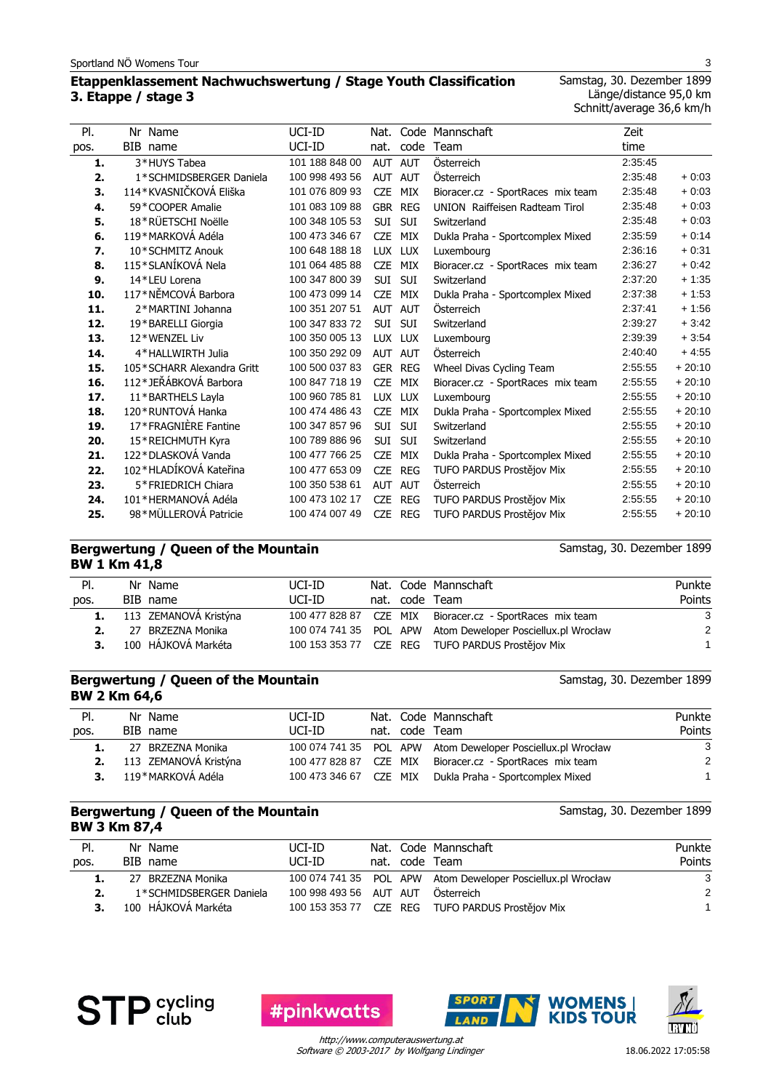# **Etappenklassement Nachwuchswertung / Stage Youth Classification 3. Etappe / stage 3**

Samstag, 30. Dezember 1899 Länge/distance 95,0 km Schnitt/average 36,6 km/h

| PI.  | Nr Name                    | UCI-ID         | Nat.       |            | Code Mannschaft                       | Zeit    |          |
|------|----------------------------|----------------|------------|------------|---------------------------------------|---------|----------|
| pos. | BIB name                   | UCI-ID         | nat.       | code       | Team                                  | time    |          |
| 1.   | 3*HUYS Tabea               | 101 188 848 00 | AUT AUT    |            | Österreich                            | 2:35:45 |          |
| 2.   | 1*SCHMIDSBERGER Daniela    | 100 998 493 56 | <b>AUT</b> | <b>AUT</b> | Österreich                            | 2:35:48 | $+0.03$  |
| 3.   | 114*KVASNIČKOVÁ Eliška     | 101 076 809 93 | <b>CZE</b> | MIX        | Bioracer.cz - SportRaces mix team     | 2:35:48 | $+0:03$  |
| 4.   | 59*COOPER Amalie           | 101 083 109 88 | GBR REG    |            | <b>UNION</b> Raiffeisen Radteam Tirol | 2:35:48 | $+0.03$  |
| 5.   | 18*RÜETSCHI Noëlle         | 100 348 105 53 | <b>SUI</b> | SUI        | Switzerland                           | 2:35:48 | $+0.03$  |
| 6.   | 119*MARKOVÁ Adéla          | 100 473 346 67 | <b>CZE</b> | MIX        | Dukla Praha - Sportcomplex Mixed      | 2:35:59 | $+0.14$  |
| 7.   | 10*SCHMITZ Anouk           | 100 648 188 18 | LUX LUX    |            | Luxembourg                            | 2:36:16 | $+0.31$  |
| 8.   | 115*SLANÍKOVÁ Nela         | 101 064 485 88 | <b>CZE</b> | MIX        | Bioracer.cz - SportRaces mix team     | 2:36:27 | $+0.42$  |
| 9.   | 14*LEU Lorena              | 100 347 800 39 | <b>SUI</b> | SUI        | Switzerland                           | 2:37:20 | $+1:35$  |
| 10.  | 117*NĚMCOVÁ Barbora        | 100 473 099 14 | <b>CZE</b> | MIX        | Dukla Praha - Sportcomplex Mixed      | 2:37:38 | $+1:53$  |
| 11.  | 2*MARTINI Johanna          | 100 351 207 51 | AUT AUT    |            | Österreich                            | 2:37:41 | $+1:56$  |
| 12.  | 19*BARELLI Giorgia         | 100 347 833 72 | <b>SUI</b> | SUI        | Switzerland                           | 2:39:27 | $+3.42$  |
| 13.  | 12*WENZEL Liv              | 100 350 005 13 | LUX LUX    |            | Luxembourg                            | 2:39:39 | $+3:54$  |
| 14.  | 4*HALLWIRTH Julia          | 100 350 292 09 | AUT AUT    |            | Österreich                            | 2:40:40 | $+4.55$  |
| 15.  | 105*SCHARR Alexandra Gritt | 100 500 037 83 | GER        | <b>REG</b> | Wheel Divas Cycling Team              | 2:55:55 | $+20:10$ |
| 16.  | 112*JEŘÁBKOVÁ Barbora      | 100 847 718 19 | <b>CZE</b> | MIX        | Bioracer.cz - SportRaces mix team     | 2:55:55 | $+20:10$ |
| 17.  | 11*BARTHELS Layla          | 100 960 785 81 | LUX LUX    |            | Luxembourg                            | 2:55:55 | $+20:10$ |
| 18.  | 120 * RUNTOVÁ Hanka        | 100 474 486 43 | <b>CZE</b> | MIX        | Dukla Praha - Sportcomplex Mixed      | 2:55:55 | $+20:10$ |
| 19.  | 17*FRAGNIÈRE Fantine       | 100 347 857 96 | <b>SUI</b> | SUI        | Switzerland                           | 2:55:55 | $+20:10$ |
| 20.  | 15*REICHMUTH Kyra          | 100 789 886 96 | SUI        | SUI        | Switzerland                           | 2:55:55 | $+20:10$ |
| 21.  | 122*DLASKOVÁ Vanda         | 100 477 766 25 | <b>CZE</b> | MIX        | Dukla Praha - Sportcomplex Mixed      | 2:55:55 | $+20:10$ |
| 22.  | 102*HLADÍKOVÁ Kateřina     | 100 477 653 09 | <b>CZE</b> | <b>REG</b> | TUFO PARDUS Prostějov Mix             | 2:55:55 | $+20:10$ |
| 23.  | 5*FRIEDRICH Chiara         | 100 350 538 61 | AUT AUT    |            | Österreich                            | 2:55:55 | $+20:10$ |
| 24.  | 101*HERMANOVÁ Adéla        | 100 473 102 17 | <b>CZE</b> | <b>REG</b> | TUFO PARDUS Prostějov Mix             | 2:55:55 | $+20:10$ |
| 25.  | 98*MÜLLEROVÁ Patricie      | 100 474 007 49 | <b>CZE</b> | <b>REG</b> | TUFO PARDUS Prostějov Mix             | 2:55:55 | $+20:10$ |

#### **Bergwertung / Queen of the Mountain BW 1 Km 41,8**

Samstag, 30. Dezember 1899

Samstag, 30. Dezember 1899

| PI.  | Nr Name                  | UCI-ID |  | Nat. Code Mannschaft                                        | Punkte |
|------|--------------------------|--------|--|-------------------------------------------------------------|--------|
| pos. | BIB name                 | UCI-ID |  | nat. code Team                                              | Points |
|      | 1. 113 ZEMANOVÁ Kristýna |        |  | 100 477 828 87 CZE MIX Bioracer.cz - SportRaces mix team    | 3      |
|      | 27 BRZEZNA Monika        |        |  | 100 074 741 35 POL APW Atom Deweloper Posciellux.pl Wrocław | 2      |
|      | 3. 100 HÁJKOVÁ Markéta   |        |  | 100 153 353 77 CZE REG TUFO PARDUS Prostějov Mix            |        |

|              | Bergwertung / Queen of the Mountain |
|--------------|-------------------------------------|
| BW 2 Km 64,6 |                                     |

| Punkte |
|--------|
|        |
| Points |
| -3     |
| 2      |
|        |
|        |

#### **Bergwertung / Queen of the Mountain BW 3 Km 87,4**

Samstag, 30. Dezember 1899

| PI.  | Nr Name                 | UCI-ID                 |  | Nat. Code Mannschaft                                        | Punkte |
|------|-------------------------|------------------------|--|-------------------------------------------------------------|--------|
| pos. | BIB name                | UCI-ID                 |  | nat. code Team                                              | Points |
|      | 27 BRZEZNA Monika       |                        |  | 100 074 741 35 POL APW Atom Deweloper Posciellux.pl Wrocław | 3      |
|      | 1*SCHMIDSBERGER Daniela | 100 998 493 56 AUT AUT |  | Österreich                                                  | 2      |
| 3.   | 100 HÁJKOVÁ Markéta     |                        |  | 100 153 353 77 CZE REG TUFO PARDUS Prostějov Mix            |        |





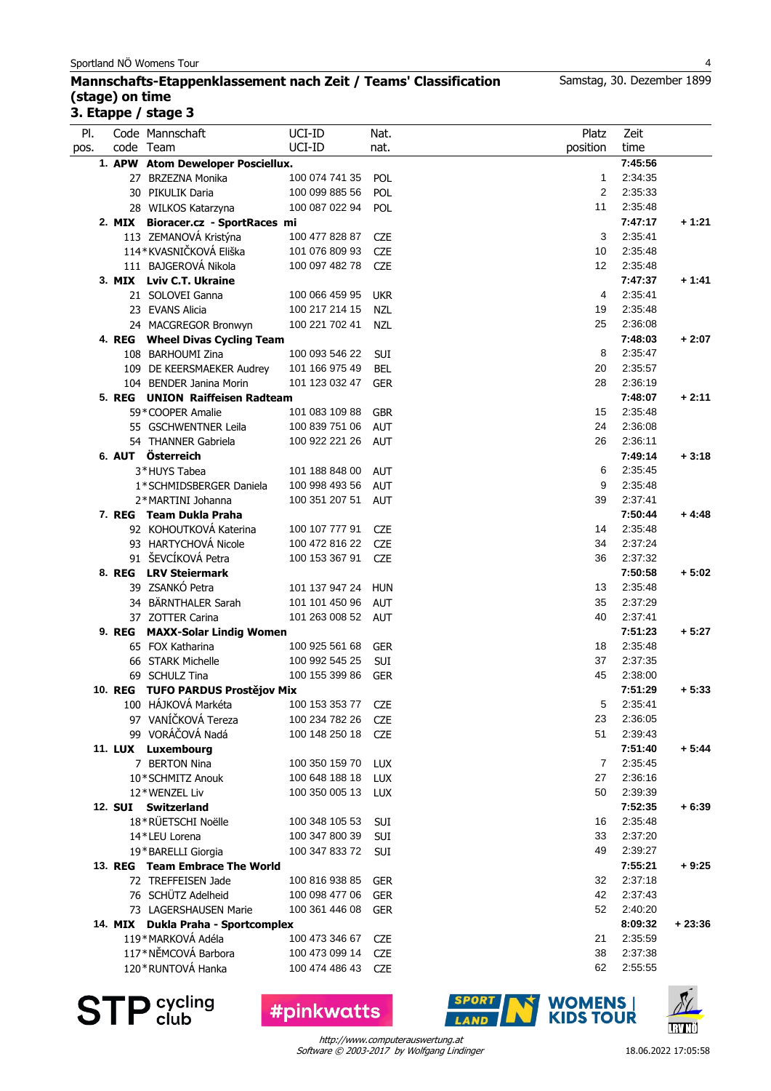### **Mannschafts-Etappenklassement nach Zeit / Teams' Classification (stage) on time 3. Etappe / stage 3**

| PI.<br>pos. |         | Code Mannschaft<br>code Team       | UCI-ID<br>UCI-ID | Nat.<br>nat. | Platz<br>position | Zeit<br>time |          |
|-------------|---------|------------------------------------|------------------|--------------|-------------------|--------------|----------|
|             |         | 1. APW Atom Deweloper Posciellux.  |                  |              |                   | 7:45:56      |          |
|             |         | 27 BRZEZNA Monika                  | 100 074 741 35   | POL          | $\mathbf{1}$      | 2:34:35      |          |
|             |         | 30 PIKULIK Daria                   | 100 099 885 56   | <b>POL</b>   | 2                 | 2:35:33      |          |
|             |         | 28 WILKOS Katarzyna                | 100 087 022 94   | <b>POL</b>   | 11                | 2:35:48      |          |
|             |         | 2. MIX Bioracer.cz - SportRaces mi |                  |              |                   | 7:47:17      | + 1:21   |
|             |         | 113 ZEMANOVÁ Kristýna              | 100 477 828 87   | <b>CZE</b>   | 3                 | 2:35:41      |          |
|             |         | 114*KVASNIČKOVÁ Eliška             | 101 076 809 93   | <b>CZE</b>   | 10                | 2:35:48      |          |
|             |         | 111 BAJGEROVÁ Nikola               | 100 097 482 78   | <b>CZE</b>   | $12 \overline{ }$ | 2:35:48      |          |
|             |         | 3. MIX Lviv C.T. Ukraine           |                  |              |                   | 7:47:37      | $+1:41$  |
|             |         | 21 SOLOVEI Ganna                   | 100 066 459 95   | <b>UKR</b>   | 4                 | 2:35:41      |          |
|             |         | 23 EVANS Alicia                    | 100 217 214 15   | <b>NZL</b>   | 19                | 2:35:48      |          |
|             |         | 24 MACGREGOR Bronwyn               | 100 221 702 41   | <b>NZL</b>   | 25                | 2:36:08      |          |
|             |         | 4. REG Wheel Divas Cycling Team    |                  |              |                   | 7:48:03      | $+2:07$  |
|             |         | 108 BARHOUMI Zina                  | 100 093 546 22   | SUI          | 8                 | 2:35:47      |          |
|             |         | 109 DE KEERSMAEKER Audrey          | 101 166 975 49   | BEL          | 20                | 2:35:57      |          |
|             |         | 104 BENDER Janina Morin            | 101 123 032 47   | <b>GER</b>   | 28                | 2:36:19      |          |
|             |         | 5. REG UNION Raiffeisen Radteam    |                  |              |                   | 7:48:07      | $+2:11$  |
|             |         | 59*COOPER Amalie                   | 101 083 109 88   | <b>GBR</b>   | 15                | 2:35:48      |          |
|             |         | 55 GSCHWENTNER Leila               | 100 839 751 06   | <b>AUT</b>   | 24                | 2:36:08      |          |
|             |         | 54 THANNER Gabriela                | 100 922 221 26   | <b>AUT</b>   | 26                | 2:36:11      |          |
|             |         | 6. AUT Österreich                  |                  |              |                   | 7:49:14      | $+3:18$  |
|             |         | 3*HUYS Tabea                       | 101 188 848 00   | <b>AUT</b>   | 6                 | 2:35:45      |          |
|             |         | 1*SCHMIDSBERGER Daniela            | 100 998 493 56   | <b>AUT</b>   | 9                 | 2:35:48      |          |
|             |         | 2*MARTINI Johanna                  | 100 351 207 51   | <b>AUT</b>   | 39                | 2:37:41      |          |
|             |         | 7. REG Team Dukla Praha            |                  |              |                   | 7:50:44      | $+4:48$  |
|             |         | 92 KOHOUTKOVÁ Katerina             | 100 107 777 91   | <b>CZE</b>   | 14                | 2:35:48      |          |
|             |         | 93 HARTYCHOVÁ Nicole               | 100 472 816 22   | <b>CZE</b>   | 34                | 2:37:24      |          |
|             |         | 91 ŠEVCÍKOVÁ Petra                 | 100 153 367 91   | <b>CZE</b>   | 36                | 2:37:32      |          |
|             |         | 8. REG LRV Steiermark              |                  |              |                   | 7:50:58      | $+5:02$  |
|             |         | 39 ZSANKÓ Petra                    | 101 137 947 24   | <b>HUN</b>   | 13                | 2:35:48      |          |
|             |         | 34 BÄRNTHALER Sarah                | 101 101 450 96   | <b>AUT</b>   | 35                | 2:37:29      |          |
|             |         | 37 ZOTTER Carina                   | 101 263 008 52   | AUT          | 40                | 2:37:41      |          |
|             |         | 9. REG MAXX-Solar Lindig Women     |                  |              |                   | 7:51:23      | $+5:27$  |
|             |         | 65 FOX Katharina                   | 100 925 561 68   | GER          | 18                | 2:35:48      |          |
|             |         | 66 STARK Michelle                  | 100 992 545 25   | SUI          | 37                | 2:37:35      |          |
|             |         | 69 SCHULZ Tina                     | 100 155 399 86   | <b>GER</b>   | 45                | 2:38:00      |          |
|             |         | 10. REG TUFO PARDUS Prostějov Mix  |                  |              |                   | 7:51:29      | $+5:33$  |
|             |         | 100 HÁJKOVÁ Markéta                | 100 153 353 77   | <b>CZE</b>   | 5                 | 2:35:41      |          |
|             |         | 97 VANÍČKOVÁ Tereza                | 100 234 782 26   | <b>CZE</b>   | 23                | 2:36:05      |          |
|             |         | 99 VORÁČOVÁ Nadá                   | 100 148 250 18   | <b>CZE</b>   | 51                | 2:39:43      |          |
|             |         | 11. LUX Luxembourg                 |                  |              |                   | 7:51:40      | $+5:44$  |
|             |         | 7 BERTON Nina                      | 100 350 159 70   | <b>LUX</b>   | $\overline{7}$    | 2:35:45      |          |
|             |         | 10*SCHMITZ Anouk                   | 100 648 188 18   | <b>LUX</b>   | 27                | 2:36:16      |          |
|             |         | 12*WENZEL Liv                      | 100 350 005 13   | <b>LUX</b>   | 50                | 2:39:39      |          |
|             | 12. SUI | <b>Switzerland</b>                 |                  |              |                   | 7:52:35      | $+6:39$  |
|             |         | 18*RÜETSCHI Noëlle                 | 100 348 105 53   | SUI          | 16                | 2:35:48      |          |
|             |         | 14*LEU Lorena                      | 100 347 800 39   | SUI          | 33                | 2:37:20      |          |
|             |         | 19*BARELLI Giorgia                 | 100 347 833 72   | SUI          | 49                | 2:39:27      |          |
|             |         | 13. REG Team Embrace The World     |                  |              |                   | 7:55:21      | $+9:25$  |
|             |         | 72 TREFFEISEN Jade                 | 100 816 938 85   | <b>GER</b>   | 32                | 2:37:18      |          |
|             |         | 76 SCHÜTZ Adelheid                 | 100 098 477 06   | <b>GER</b>   | 42                | 2:37:43      |          |
|             |         | 73 LAGERSHAUSEN Marie              | 100 361 446 08   | <b>GER</b>   | 52                | 2:40:20      |          |
|             |         | 14. MIX Dukla Praha - Sportcomplex |                  |              |                   | 8:09:32      | $+23:36$ |
|             |         | 119*MARKOVÁ Adéla                  | 100 473 346 67   | <b>CZE</b>   | 21                | 2:35:59      |          |
|             |         | 117*NĚMCOVÁ Barbora                | 100 473 099 14   | <b>CZE</b>   | 38                | 2:37:38      |          |
|             |         | 120 * RUNTOVÁ Hanka                | 100 474 486 43   | <b>CZE</b>   | 62                | 2:55:55      |          |
|             |         |                                    |                  |              |                   |              |          |



**#pinkwatts** 



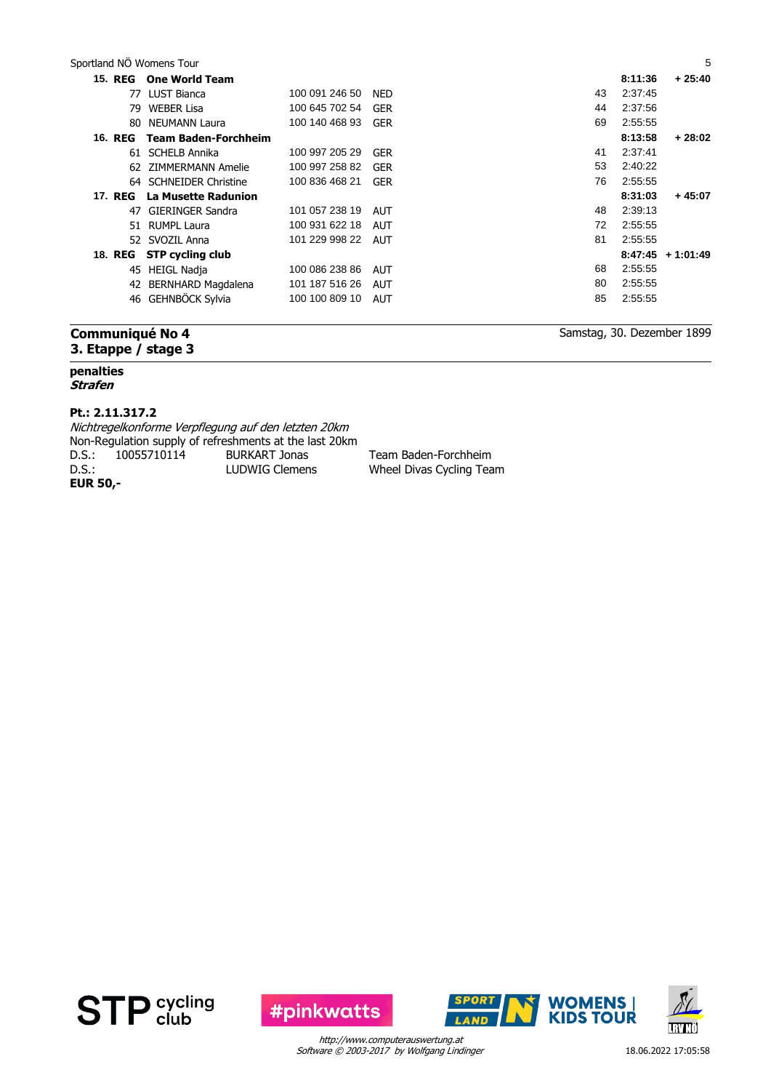| 15. REG        | <b>One World Team</b>    |                |            |    | 8:11:36 | $+25:40$            |
|----------------|--------------------------|----------------|------------|----|---------|---------------------|
|                | 77 LUST Bianca           | 100 091 246 50 | <b>NED</b> | 43 | 2:37:45 |                     |
| 79.            | <b>WEBER Lisa</b>        | 100 645 702 54 | <b>GER</b> | 44 | 2:37:56 |                     |
| 80             | NEUMANN Laura            | 100 140 468 93 | <b>GER</b> | 69 | 2:55:55 |                     |
| <b>16. REG</b> | Team Baden-Forchheim     |                |            |    | 8:13:58 | $+28:02$            |
|                | 61 SCHELB Annika         | 100 997 205 29 | <b>GER</b> | 41 | 2:37:41 |                     |
|                | 62 ZIMMERMANN Amelie     | 100 997 258 82 | GER        | 53 | 2:40:22 |                     |
|                | 64 SCHNEIDER Christine   | 100 836 468 21 | <b>GER</b> | 76 | 2:55:55 |                     |
| 17. REG        | La Musette Radunion      |                |            |    | 8:31:03 | $+45:07$            |
|                | 47 GIERINGER Sandra      | 101 057 238 19 | <b>AUT</b> | 48 | 2:39:13 |                     |
|                | 51 RUMPL Laura           | 100 931 622 18 | <b>AUT</b> | 72 | 2:55:55 |                     |
|                | 52 SVOZIL Anna           | 101 229 998 22 | <b>AUT</b> | 81 | 2:55:55 |                     |
|                | 18. REG STP cycling club |                |            |    |         | $8:47:45 + 1:01:49$ |
|                | 45 HEIGL Nadja           | 100 086 238 86 | <b>AUT</b> | 68 | 2:55:55 |                     |
|                | 42 BERNHARD Magdalena    | 101 187 516 26 | <b>AUT</b> | 80 | 2:55:55 |                     |
| 46             | GEHNBÖCK Sylvia          | 100 100 809 10 | AUT        | 85 | 2:55:55 |                     |
|                |                          |                |            |    |         |                     |

# **Communiqué No 4 3. Etappe / stage 3**

#### **penalties**

#### **Strafen**

#### **Pt.: 2.11.317.2**

Nichtregelkonforme Verpflegung auf den letzten 20km Non-Regulation supply of refreshments at the last 20km D.S.: 10055710114 BURKART Jonas Team Baden-Forchheim<br>D.S.: LUDWIG Clemens Wheel Divas Cycling Tea D.S.: LUDWIG Clemens Wheel Divas Cycling Team **EUR 50,-**







**IRVNÖ** 

Samstag, 30. Dezember 1899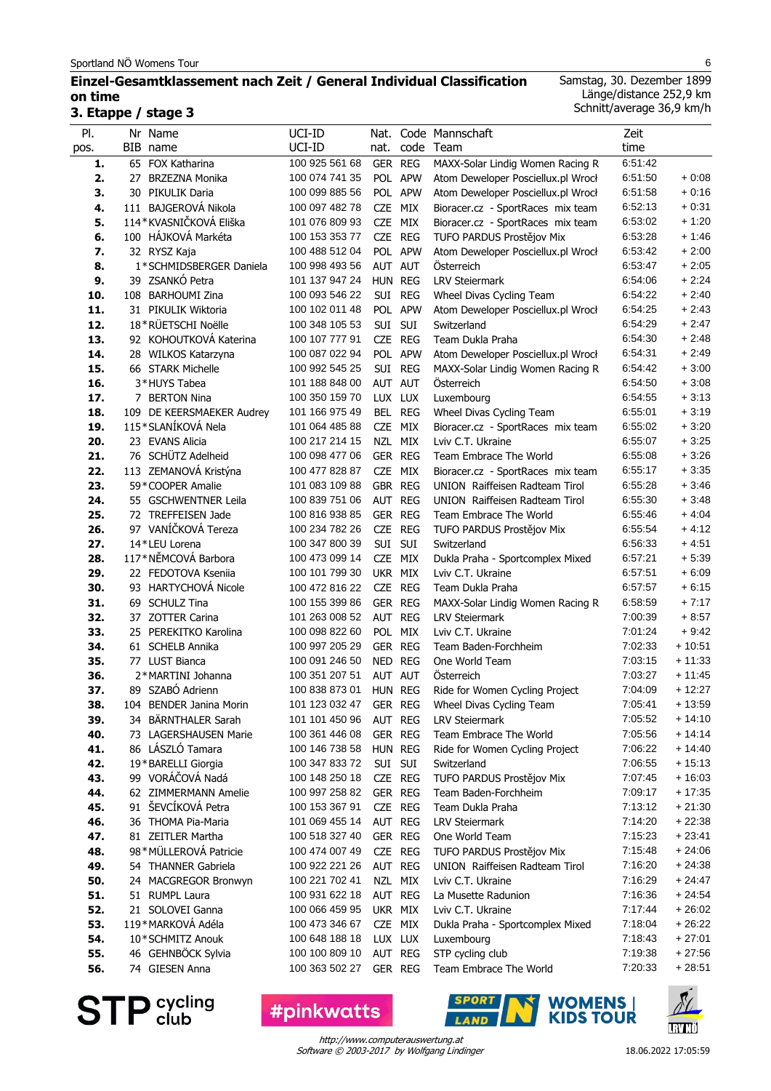# **Einzel-Gesamtklassement nach Zeit / General Individual Classification on time 3. Etappe / stage 3**

Samstag, 30. Dezember 1899 Länge/distance 252,9 km Schnitt/average 36,9 km/h

| PI.        | Nr Name                                  | UCI-ID                           |            |                    | Nat. Code Mannschaft                                                   | Zeit               |                      |
|------------|------------------------------------------|----------------------------------|------------|--------------------|------------------------------------------------------------------------|--------------------|----------------------|
| pos.       | BIB name                                 | UCI-ID                           | nat.       |                    | code Team                                                              | time               |                      |
| 1.         | 65 FOX Katharina                         | 100 925 561 68                   |            | GER REG            | MAXX-Solar Lindig Women Racing R                                       | 6:51:42            |                      |
| 2.         | 27 BRZEZNA Monika                        | 100 074 741 35                   |            | POL APW            | Atom Deweloper Posciellux.pl Wrocł                                     | 6:51:50            | $+0.08$              |
| 3.<br>4.   | 30 PIKULIK Daria<br>111 BAJGEROVÁ Nikola | 100 099 885 56<br>100 097 482 78 |            | POL APW<br>CZE MIX | Atom Deweloper Posciellux.pl Wrocł                                     | 6:51:58<br>6:52:13 | $+0:16$<br>$+0.31$   |
| 5.         | 114*KVASNIČKOVÁ Eliška                   | 101 076 809 93                   |            | CZE MIX            | Bioracer.cz - SportRaces mix team<br>Bioracer.cz - SportRaces mix team | 6:53:02            | $+1:20$              |
| 6.         | 100 HÁJKOVÁ Markéta                      | 100 153 353 77                   |            | CZE REG            | TUFO PARDUS Prostějov Mix                                              | 6:53:28            | $+1:46$              |
| 7.         | 32 RYSZ Kaja                             | 100 488 512 04                   |            | POL APW            | Atom Deweloper Posciellux.pl Wrocł                                     | 6:53:42            | $+2:00$              |
| 8.         | 1*SCHMIDSBERGER Daniela                  | 100 998 493 56                   |            | AUT AUT            | Österreich                                                             | 6:53:47            | $+2:05$              |
| 9.         | 39 ZSANKÓ Petra                          | 101 137 947 24                   | HUN REG    |                    | <b>LRV Steiermark</b>                                                  | 6.54.06            | $+2:24$              |
| 10.        | 108 BARHOUMI Zina                        | 100 093 546 22                   |            | SUI REG            | Wheel Divas Cycling Team                                               | 6:54:22            | $+2:40$              |
| 11.        | 31 PIKULIK Wiktoria                      | 100 102 011 48                   |            | POL APW            | Atom Deweloper Posciellux.pl Wrocł                                     | 6:54:25            | $+2:43$              |
| 12.        | 18*RÜETSCHI Noëlle                       | 100 348 105 53                   | SUI SUI    |                    | Switzerland                                                            | 6:54:29            | $+2:47$              |
| 13.        | 92 KOHOUTKOVÁ Katerina                   | 100 107 777 91                   |            | CZE REG            | Team Dukla Praha                                                       | 6:54:30            | $+2:48$              |
| 14.        | 28 WILKOS Katarzyna                      | 100 087 022 94                   |            | POL APW            | Atom Deweloper Posciellux.pl Wrocł                                     | 6:54:31            | $+2:49$              |
| 15.        | 66 STARK Michelle                        | 100 992 545 25                   | Sui        | <b>REG</b>         | MAXX-Solar Lindig Women Racing R                                       | 6:54:42            | $+3:00$              |
| 16.        | 3*HUYS Tabea                             | 101 188 848 00                   |            | AUT AUT            | Österreich                                                             | 6:54:50            | $+3:08$              |
| 17.        | 7 BERTON Nina                            | 100 350 159 70                   |            | LUX LUX            | Luxembourg                                                             | 6:54:55            | $+3:13$              |
| 18.        | 109 DE KEERSMAEKER Audrey                | 101 166 975 49                   |            | BEL REG            | Wheel Divas Cycling Team                                               | 6:55:01            | $+3:19$              |
| 19.        | 115*SLANÍKOVÁ Nela                       | 101 064 485 88                   |            | CZE MIX            | Bioracer.cz - SportRaces mix team                                      | 6:55:02            | $+3:20$              |
| 20.        | 23 EVANS Alicia                          | 100 217 214 15                   |            | NZL MIX            | Lviv C.T. Ukraine                                                      | 6:55:07            | $+3:25$              |
| 21.        | 76 SCHÜTZ Adelheid                       | 100 098 477 06                   | GER REG    |                    | Team Embrace The World                                                 | 6:55:08            | $+3.26$              |
| 22.        | 113 ZEMANOVÁ Kristýna                    | 100 477 828 87                   |            | CZE MIX            | Bioracer.cz - SportRaces mix team                                      | 6:55:17            | $+3.35$              |
| 23.        | 59*COOPER Amalie                         | 101 083 109 88                   | GBR REG    |                    | UNION Raiffeisen Radteam Tirol                                         | 6.55.28            | $+3.46$              |
| 24.        | 55 GSCHWENTNER Leila                     | 100 839 751 06                   | AUT REG    |                    | UNION Raiffeisen Radteam Tirol                                         | 6:55:30            | $+3.48$              |
| 25.        | 72 TREFFEISEN Jade                       | 100 816 938 85                   |            | GER REG            | Team Embrace The World                                                 | 6:55:46            | $+4:04$              |
| 26.        | 97 VANÍČKOVÁ Tereza                      | 100 234 782 26                   |            | CZE REG            | TUFO PARDUS Prostějov Mix                                              | 6:55:54            | $+4:12$              |
| 27.        | 14*LEU Lorena                            | 100 347 800 39                   | SUI SUI    |                    | Switzerland                                                            | 6:56:33            | $+4.51$              |
| 28.        | 117*NĚMCOVÁ Barbora                      | 100 473 099 14                   |            | CZE MIX            | Dukla Praha - Sportcomplex Mixed                                       | 6.57:21            | $+5:39$              |
| 29.        | 22 FEDOTOVA Kseniia                      | 100 101 799 30                   | UKR MIX    |                    | Lviv C.T. Ukraine                                                      | 6:57:51            | $+6:09$              |
| 30.        | 93 HARTYCHOVÁ Nicole                     | 100 472 816 22                   |            | CZE REG            | Team Dukla Praha                                                       | 6:57:57            | $+6:15$              |
| 31.        | 69 SCHULZ Tina                           | 100 155 399 86                   |            | GER REG            | MAXX-Solar Lindig Women Racing R                                       | 6.58.59            | $+7:17$              |
| 32.        | 37 ZOTTER Carina                         | 101 263 008 52                   |            | AUT REG            | <b>LRV Steiermark</b>                                                  | 7:00:39            | $+8:57$              |
| 33.        | 25 PEREKITKO Karolina                    | 100 098 822 60                   | <b>POL</b> | MIX                | Lviv C.T. Ukraine                                                      | 7:01:24            | $+9:42$              |
| 34.        | 61 SCHELB Annika<br>77 LUST Bianca       | 100 997 205 29                   |            | GER REG            | Team Baden-Forchheim<br>One World Team                                 | 7:02:33            | $+10:51$             |
| 35.<br>36. | 2*MARTINI Johanna                        | 100 091 246 50<br>100 351 207 51 | NED REG    | AUT AUT            | Österreich                                                             | 7:03:15<br>7:03:27 | $+11:33$<br>$+11:45$ |
| 37.        | 89 SZABÓ Adrienn                         | 100 838 873 01                   | HUN REG    |                    | Ride for Women Cycling Project                                         | 7:04:09            | $+12:27$             |
| 38.        | 104 BENDER Janina Morin                  | 101 123 032 47                   | GER REG    |                    | Wheel Divas Cycling Team                                               | 7:05:41            | $+13:59$             |
| 39.        | 34 BÄRNTHALER Sarah                      | 101 101 450 96                   |            | AUT REG            | <b>LRV Steiermark</b>                                                  | 7:05:52            | + 14:10              |
| 40.        | 73 LAGERSHAUSEN Marie                    | 100 361 446 08                   |            | GER REG            | Team Embrace The World                                                 | 7:05:56            | $+14:14$             |
| 41.        | 86 LÁSZLÓ Tamara                         | 100 146 738 58                   | HUN REG    |                    | Ride for Women Cycling Project                                         | 7:06:22            | $+14:40$             |
| 42.        | 19*BARELLI Giorgia                       | 100 347 833 72                   |            | SUI SUI            | Switzerland                                                            | 7:06:55            | $+15:13$             |
| 43.        | 99 VORÁČOVÁ Nadá                         | 100 148 250 18                   |            | CZE REG            | TUFO PARDUS Prostějov Mix                                              | 7:07:45            | $+16:03$             |
| 44.        | 62 ZIMMERMANN Amelie                     | 100 997 258 82                   |            | GER REG            | Team Baden-Forchheim                                                   | 7:09:17            | $+17:35$             |
| 45.        | 91 ŠEVCÍKOVÁ Petra                       | 100 153 367 91                   |            | CZE REG            | Team Dukla Praha                                                       | 7:13:12            | $+21:30$             |
| 46.        | 36 THOMA Pia-Maria                       | 101 069 455 14                   |            | AUT REG            | <b>LRV Steiermark</b>                                                  | 7:14:20            | $+22:38$             |
| 47.        | 81 ZEITLER Martha                        | 100 518 327 40                   |            | GER REG            | One World Team                                                         | 7:15:23            | $+23:41$             |
| 48.        | 98*MÜLLEROVÁ Patricie                    | 100 474 007 49                   |            | CZE REG            | TUFO PARDUS Prostějov Mix                                              | 7:15:48            | $+24:06$             |
| 49.        | 54 THANNER Gabriela                      | 100 922 221 26                   |            | AUT REG            | UNION Raiffeisen Radteam Tirol                                         | 7:16:20            | $+24:38$             |
| 50.        | 24 MACGREGOR Bronwyn                     | 100 221 702 41                   |            | NZL MIX            | Lviv C.T. Ukraine                                                      | 7:16:29            | $+24:47$             |
| 51.        | 51 RUMPL Laura                           | 100 931 622 18                   |            | AUT REG            | La Musette Radunion                                                    | 7:16:36            | $+24:54$             |
| 52.        | 21 SOLOVEI Ganna                         | 100 066 459 95                   |            | UKR MIX            | Lviv C.T. Ukraine                                                      | 7:17:44            | $+26:02$             |
| 53.        | 119*MARKOVÁ Adéla                        | 100 473 346 67                   |            | CZE MIX            | Dukla Praha - Sportcomplex Mixed                                       | 7:18:04            | $+26:22$             |
| 54.        | 10*SCHMITZ Anouk                         | 100 648 188 18                   |            | LUX LUX            | Luxembourg                                                             | 7:18:43            | $+27:01$             |
| 55.        | 46 GEHNBÖCK Sylvia                       | 100 100 809 10                   |            | AUT REG            | STP cycling club                                                       | 7:19:38            | $+27:56$             |
| 56.        | 74 GIESEN Anna                           | 100 363 502 27                   |            | GER REG            | Team Embrace The World                                                 | 7:20:33            | $+28:51$             |

**STP** cycling

**#pinkwatts** 



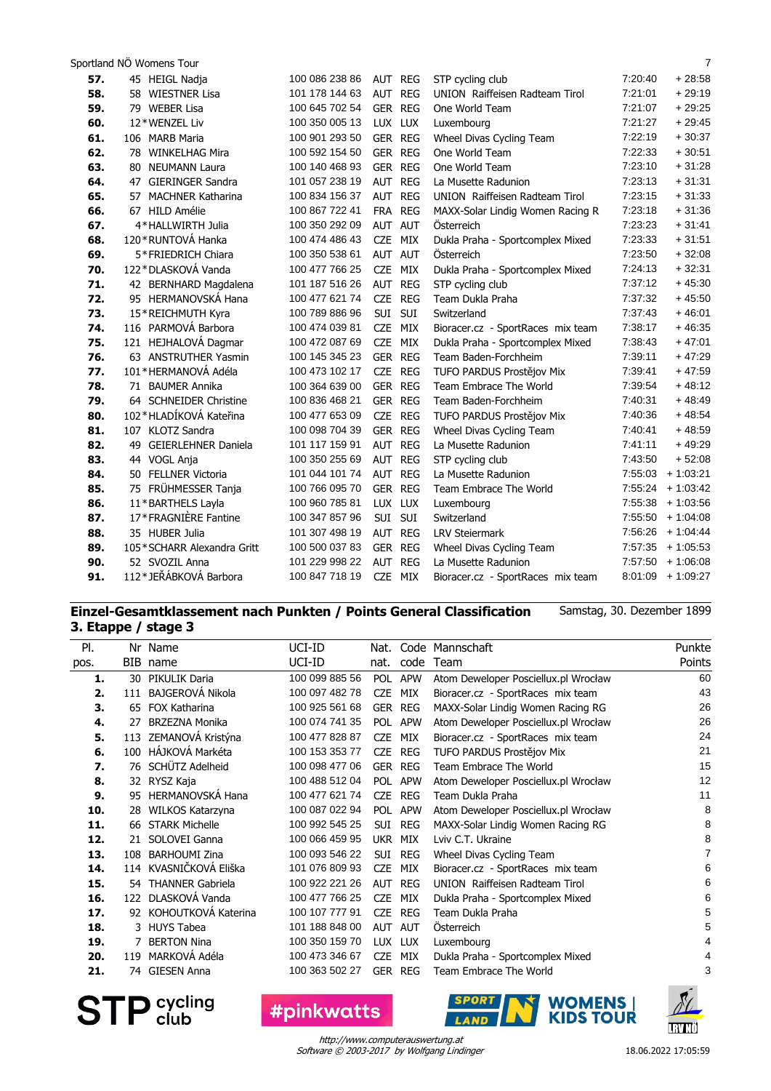| 57. | 45 HEIGL Nadja             | 100 086 238 86 | AUT REG           | STP cycling club                  | 7:20:40 | $+28:58$            |
|-----|----------------------------|----------------|-------------------|-----------------------------------|---------|---------------------|
| 58. | 58 WIESTNER Lisa           | 101 178 144 63 | AUT REG           | UNION Raiffeisen Radteam Tirol    | 7:21:01 | $+29:19$            |
| 59. | 79 WEBER Lisa              | 100 645 702 54 | <b>GER REG</b>    | One World Team                    | 7:21:07 | $+29:25$            |
| 60. | 12*WENZEL Liv              | 100 350 005 13 | LUX LUX           | Luxembourg                        | 7:21:27 | $+29:45$            |
| 61. | 106 MARB Maria             | 100 901 293 50 | <b>GER REG</b>    | Wheel Divas Cycling Team          | 7:22:19 | $+30:37$            |
| 62. | 78 WINKELHAG Mira          | 100 592 154 50 | GER REG           | One World Team                    | 7:22:33 | $+30.51$            |
| 63. | 80 NEUMANN Laura           | 100 140 468 93 | <b>GER REG</b>    | One World Team                    | 7:23:10 | $+31:28$            |
| 64. | 47 GIERINGER Sandra        | 101 057 238 19 | AUT REG           | La Musette Radunion               | 7:23:13 | $+31:31$            |
| 65. | 57 MACHNER Katharina       | 100 834 156 37 | AUT REG           | UNION Raiffeisen Radteam Tirol    | 7:23:15 | $+31:33$            |
| 66. | 67 HILD Amélie             | 100 867 722 41 | FRA REG           | MAXX-Solar Lindig Women Racing R  | 7:23:18 | $+31:36$            |
| 67. | 4*HALLWIRTH Julia          | 100 350 292 09 | AUT AUT           | <b>Osterreich</b>                 | 7:23:23 | $+31:41$            |
| 68. | 120*RUNTOVÁ Hanka          | 100 474 486 43 | CZE MIX           | Dukla Praha - Sportcomplex Mixed  | 7:23:33 | $+31:51$            |
| 69. | 5*FRIEDRICH Chiara         | 100 350 538 61 | AUT AUT           | Österreich                        | 7:23:50 | $+32:08$            |
| 70. | 122*DLASKOVÁ Vanda         | 100 477 766 25 | CZE MIX           | Dukla Praha - Sportcomplex Mixed  | 7:24:13 | $+32:31$            |
| 71. | 42 BERNHARD Magdalena      | 101 187 516 26 | AUT REG           | STP cycling club                  | 7:37:12 | $+45:30$            |
| 72. | 95 HERMANOVSKÁ Hana        | 100 477 621 74 | CZE REG           | Team Dukla Praha                  | 7:37:32 | $+45:50$            |
| 73. | 15*REICHMUTH Kyra          | 100 789 886 96 | SUI SUI           | Switzerland                       | 7:37:43 | $+46:01$            |
| 74. | 116 PARMOVÁ Barbora        | 100 474 039 81 | <b>CZE</b><br>MIX | Bioracer.cz - SportRaces mix team | 7:38:17 | $+46:35$            |
| 75. | 121 HEJHALOVÁ Dagmar       | 100 472 087 69 | CZE MIX           | Dukla Praha - Sportcomplex Mixed  | 7:38:43 | $+47:01$            |
| 76. | 63 ANSTRUTHER Yasmin       | 100 145 345 23 | GER REG           | Team Baden-Forchheim              | 7:39:11 | $+47:29$            |
| 77. | 101 * HERMANOVÁ Adéla      | 100 473 102 17 | CZE REG           | TUFO PARDUS Prostějov Mix         | 7:39:41 | $+47:59$            |
| 78. | 71 BAUMER Annika           | 100 364 639 00 | GER REG           | Team Embrace The World            | 7:39:54 | $+48:12$            |
| 79. | 64 SCHNEIDER Christine     | 100 836 468 21 | <b>GER REG</b>    | Team Baden-Forchheim              | 7:40:31 | $+48:49$            |
| 80. | 102*HLADÍKOVÁ Kateřina     | 100 477 653 09 | CZE REG           | TUFO PARDUS Prostějov Mix         | 7:40:36 | $+48.54$            |
| 81. | 107 KLOTZ Sandra           | 100 098 704 39 | <b>GER REG</b>    | Wheel Divas Cycling Team          | 7:40:41 | $+48:59$            |
| 82. | 49 GEIERLEHNER Daniela     | 101 117 159 91 | AUT REG           | La Musette Radunion               | 7:41:11 | $+49:29$            |
| 83. | 44 VOGL Anja               | 100 350 255 69 | AUT REG           | STP cycling club                  | 7:43:50 | $+52:08$            |
| 84. | 50 FELLNER Victoria        | 101 044 101 74 | AUT REG           | La Musette Radunion               | 7:55:03 | $+1:03:21$          |
| 85. | 75 FRÜHMESSER Tanja        | 100 766 095 70 | GER REG           | Team Embrace The World            |         | $7:55:24$ + 1:03:42 |
| 86. | 11*BARTHELS Layla          | 100 960 785 81 | LUX LUX           | Luxembourg                        |         | $7:55:38$ + 1:03:56 |
| 87. | 17*FRAGNIÈRE Fantine       | 100 347 857 96 | SUI SUI           | Switzerland                       | 7:55:50 | $+1:04:08$          |
| 88. | 35 HUBER Julia             | 101 307 498 19 | AUT REG           | <b>LRV Steiermark</b>             | 7:56:26 | $+1.04.44$          |
| 89. | 105*SCHARR Alexandra Gritt | 100 500 037 83 | <b>GER REG</b>    | Wheel Divas Cycling Team          | 7:57:35 | $+1:05:53$          |
| 90. | 52 SVOZIL Anna             | 101 229 998 22 | AUT REG           | La Musette Radunion               | 7:57:50 | $+1:06:08$          |
| 91. | 112*JEŘÁBKOVÁ Barbora      | 100 847 718 19 | CZE MIX           | Bioracer.cz - SportRaces mix team |         | $8:01:09 + 1:09:27$ |
|     |                            |                |                   |                                   |         |                     |

# **Einzel-Gesamtklassement nach Punkten / Points General Classification 3. Etappe / stage 3**

Samstag, 30. Dezember 1899

| PI.  |     | Nr Name                 | UCI-ID         | Nat.       |                | Code Mannschaft                       | Punkte         |
|------|-----|-------------------------|----------------|------------|----------------|---------------------------------------|----------------|
| pos. |     | BIB name                | UCI-ID         | nat.       | code           | Team                                  | Points         |
| 1.   | 30  | PIKULIK Daria           | 100 099 885 56 | <b>POL</b> | APW            | Atom Deweloper Posciellux.pl Wrocław  | 60             |
| 2.   | 111 | BAJGEROVÁ Nikola        | 100 097 482 78 | <b>CZE</b> | MIX            | Bioracer.cz - SportRaces mix team     | 43             |
| 3.   | 65  | <b>FOX Katharina</b>    | 100 925 561 68 |            | <b>GER REG</b> | MAXX-Solar Lindig Women Racing RG     | 26             |
| 4.   | 27  | <b>BRZEZNA Monika</b>   | 100 074 741 35 |            | POL APW        | Atom Deweloper Posciellux.pl Wrocław  | 26             |
| 5.   | 113 | ZEMANOVÁ Kristýna       | 100 477 828 87 | <b>CZE</b> | MIX            | Bioracer.cz - SportRaces mix team     | 24             |
| 6.   |     | 100 HÁJKOVÁ Markéta     | 100 153 353 77 | <b>CZE</b> | <b>REG</b>     | TUFO PARDUS Prostějov Mix             | 21             |
| 7.   |     | 76 SCHÜTZ Adelheid      | 100 098 477 06 |            | <b>GER REG</b> | Team Embrace The World                | 15             |
| 8.   | 32  | RYSZ Kaja               | 100 488 512 04 | <b>POL</b> | <b>APW</b>     | Atom Deweloper Posciellux.pl Wrocław  | 12             |
| 9.   | 95  | <b>HERMANOVSKÁ Hana</b> | 100 477 621 74 | <b>CZE</b> | <b>REG</b>     | Team Dukla Praha                      | 11             |
| 10.  | 28  | WILKOS Katarzyna        | 100 087 022 94 | <b>POL</b> | <b>APW</b>     | Atom Deweloper Posciellux.pl Wrocław  | 8              |
| 11.  | 66  | <b>STARK Michelle</b>   | 100 992 545 25 | SUI        | <b>REG</b>     | MAXX-Solar Lindig Women Racing RG     | 8              |
| 12.  |     | 21 SOLOVEI Ganna        | 100 066 459 95 | <b>UKR</b> | MIX            | Lviv C.T. Ukraine                     | 8              |
| 13.  | 108 | <b>BARHOUMI Zina</b>    | 100 093 546 22 | Sui        | REG            | Wheel Divas Cycling Team              | 7              |
| 14.  |     | 114 KVASNIČKOVÁ Eliška  | 101 076 809 93 | <b>CZE</b> | MIX            | Bioracer.cz - SportRaces mix team     | 6              |
| 15.  | 54  | <b>THANNER Gabriela</b> | 100 922 221 26 | AUT        | <b>REG</b>     | <b>UNION</b> Raiffeisen Radteam Tirol | 6              |
| 16.  |     | 122 DLASKOVÁ Vanda      | 100 477 766 25 | <b>CZE</b> | MIX            | Dukla Praha - Sportcomplex Mixed      | 6              |
| 17.  |     | 92 KOHOUTKOVÁ Katerina  | 100 107 777 91 | <b>CZE</b> | <b>REG</b>     | Team Dukla Praha                      | 5              |
| 18.  |     | 3 HUYS Tabea            | 101 188 848 00 | AUT        | <b>AUT</b>     | Österreich                            | 5              |
| 19.  |     | <b>BERTON Nina</b>      | 100 350 159 70 | <b>LUX</b> | <b>LUX</b>     | Luxembourg                            | 4              |
| 20.  | 119 | MARKOVÁ Adéla           | 100 473 346 67 | <b>CZE</b> | MIX            | Dukla Praha - Sportcomplex Mixed      | 4              |
| 21.  |     | 74 GIESEN Anna          | 100 363 502 27 |            | <b>GER REG</b> | Team Embrace The World                | 3              |
|      |     |                         |                |            |                |                                       | $\overline{ }$ |

**STP** cycling

Software © 2003-2017 by Wolfgang Lindinger http://www.computerauswertung.at

**#pinkwatts** 

**ETTI**Ü

**SPORT WOMENS**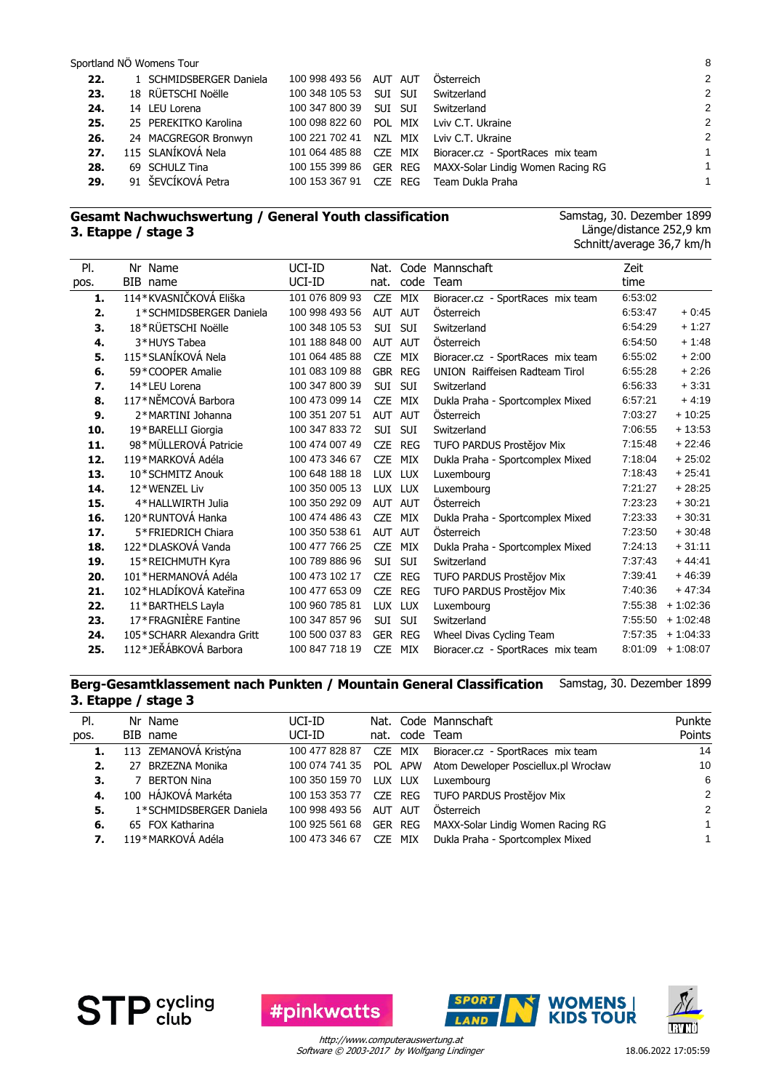| 22. | 1 SCHMIDSBERGER Daniela | 100 998 493 56 AUT AUT |         | Österreich                        | 2              |
|-----|-------------------------|------------------------|---------|-----------------------------------|----------------|
| 23. | 18 RÜETSCHI Noëlle      | 100 348 105 53         | SUI SUI | Switzerland                       | $\overline{2}$ |
| 24. | 14 LEU Lorena           | 100 347 800 39         | Sui sui | Switzerland                       | $\overline{2}$ |
| 25. | 25 PEREKITKO Karolina   | 100 098 822 60         | POL MIX | Lviv C.T. Ukraine                 | $\overline{2}$ |
| 26. | 24 MACGREGOR Bronwyn    | 100 221 702 41         | NZL MIX | Lviv C.T. Ukraine                 | $\overline{2}$ |
| 27. | 115 SLANÍKOVÁ Nela      | 101 064 485 88 CZE MIX |         | Bioracer.cz - SportRaces mix team | 1              |
| 28. | 69 SCHULZ Tina          | 100 155 399 86 GER REG |         | MAXX-Solar Lindig Women Racing RG | 1              |
| 29. | 91 ŠEVCÍKOVÁ Petra      | 100 153 367 91         | CZE REG | Team Dukla Praha                  |                |
|     |                         |                        |         |                                   |                |

#### **Gesamt Nachwuchswertung / General Youth classification 3. Etappe / stage 3**

Samstag, 30. Dezember 1899 Länge/distance 252,9 km Schnitt/average 36,7 km/h

| PI.  | Nr Name                    | UCI-ID         | Nat.       |                | Code Mannschaft                   | Zeit    |            |
|------|----------------------------|----------------|------------|----------------|-----------------------------------|---------|------------|
| pos. | BIB name                   | UCI-ID         | nat.       | code           | Team                              | time    |            |
| 1.   | 114*KVASNIČKOVÁ Eliška     | 101 076 809 93 | <b>CZE</b> | MIX            | Bioracer.cz - SportRaces mix team | 6:53:02 |            |
| 2.   | 1*SCHMIDSBERGER Daniela    | 100 998 493 56 |            | AUT AUT        | Österreich                        | 6:53:47 | $+0.45$    |
| 3.   | 18*RÜETSCHI Noëlle         | 100 348 105 53 | SUI        | <b>SUI</b>     | Switzerland                       | 6:54:29 | $+1:27$    |
| 4.   | 3*HUYS Tabea               | 101 188 848 00 |            | AUT AUT        | Österreich                        | 6:54:50 | $+1:48$    |
| 5.   | 115*SLANÍKOVÁ Nela         | 101 064 485 88 | <b>CZE</b> | MIX            | Bioracer.cz - SportRaces mix team | 6:55:02 | $+2:00$    |
| 6.   | 59*COOPER Amalie           | 101 083 109 88 |            | GBR REG        | UNION Raiffeisen Radteam Tirol    | 6:55:28 | $+2:26$    |
| 7.   | 14*LEU Lorena              | 100 347 800 39 | SUI        | <b>SUI</b>     | Switzerland                       | 6.56.33 | $+3.31$    |
| 8.   | 117*NĚMCOVÁ Barbora        | 100 473 099 14 | <b>CZE</b> | MIX            | Dukla Praha - Sportcomplex Mixed  | 6:57:21 | $+4.19$    |
| 9.   | 2*MARTINI Johanna          | 100 351 207 51 | AUT        | <b>AUT</b>     | Österreich                        | 7:03:27 | $+10:25$   |
| 10.  | 19*BARELLI Giorgia         | 100 347 833 72 | SUI        | SUI            | Switzerland                       | 7:06:55 | $+13:53$   |
| 11.  | 98*MÜLLEROVÁ Patricie      | 100 474 007 49 | <b>CZE</b> | <b>REG</b>     | TUFO PARDUS Prostějov Mix         | 7:15:48 | $+22:46$   |
| 12.  | 119*MARKOVÁ Adéla          | 100 473 346 67 | <b>CZE</b> | MIX            | Dukla Praha - Sportcomplex Mixed  | 7:18:04 | $+25:02$   |
| 13.  | 10*SCHMITZ Anouk           | 100 648 188 18 |            | LUX LUX        | Luxembourg                        | 7:18:43 | $+25.41$   |
| 14.  | 12*WENZEL Liv              | 100 350 005 13 | <b>LUX</b> | <b>LUX</b>     | Luxembourg                        | 7:21:27 | $+28:25$   |
| 15.  | 4*HALLWIRTH Julia          | 100 350 292 09 |            | AUT AUT        | Österreich                        | 7:23:23 | $+30.21$   |
| 16.  | 120*RUNTOVÁ Hanka          | 100 474 486 43 | <b>CZE</b> | MIX            | Dukla Praha - Sportcomplex Mixed  | 7:23:33 | $+30:31$   |
| 17.  | 5*FRIEDRICH Chiara         | 100 350 538 61 | <b>AUT</b> | <b>AUT</b>     | Österreich                        | 7:23:50 | $+30:48$   |
| 18.  | 122*DLASKOVÁ Vanda         | 100 477 766 25 | <b>CZE</b> | MIX            | Dukla Praha - Sportcomplex Mixed  | 7:24:13 | $+31:11$   |
| 19.  | 15*REICHMUTH Kyra          | 100 789 886 96 | SUI        | SUI            | Switzerland                       | 7:37:43 | $+44:41$   |
| 20.  | 101*HERMANOVÁ Adéla        | 100 473 102 17 | <b>CZE</b> | REG            | TUFO PARDUS Prostějov Mix         | 7:39:41 | $+46:39$   |
| 21.  | 102*HLADÍKOVÁ Kateřina     | 100 477 653 09 | <b>CZE</b> | <b>REG</b>     | TUFO PARDUS Prostějov Mix         | 7:40:36 | $+47:34$   |
| 22.  | 11*BARTHELS Layla          | 100 960 785 81 | <b>LUX</b> | <b>LUX</b>     | Luxembourg                        | 7:55:38 | $+1:02:36$ |
| 23.  | 17*FRAGNIÈRE Fantine       | 100 347 857 96 | SUI        | <b>SUI</b>     | Switzerland                       | 7:55:50 | $+1:02:48$ |
| 24.  | 105*SCHARR Alexandra Gritt | 100 500 037 83 |            | <b>GER REG</b> | Wheel Divas Cycling Team          | 7:57:35 | $+1:04:33$ |
| 25.  | 112*JEŘÁBKOVÁ Barbora      | 100 847 718 19 | <b>CZE</b> | MIX            | Bioracer.cz - SportRaces mix team | 8:01:09 | $+1:08:07$ |

#### **Berg-Gesamtklassement nach Punkten / Mountain General Classification 3. Etappe / stage 3** Samstag, 30. Dezember 1899

| PI.  | Nr Name                 | UCI-ID         |         | Nat. Code Mannschaft                                        | Punkte        |
|------|-------------------------|----------------|---------|-------------------------------------------------------------|---------------|
| pos. | BIB name                | UCI-ID         |         | nat. code Team                                              | Points        |
| 1.   | 113 ZEMANOVÁ Kristýna   | 100 477 828 87 | CZE MIX | Bioracer.cz - SportRaces mix team                           | 14            |
| 2.   | 27 BRZEZNA Monika       |                |         | 100 074 741 35 POL APW Atom Deweloper Posciellux.pl Wrocław | 10            |
| 3.   | 7 BERTON Nina           | 100 350 159 70 | LUX LUX | Luxembourg                                                  | 6             |
| 4.   | 100 HÁJKOVÁ Markéta     |                |         | 100 153 353 77 CZE REG TUFO PARDUS Prostějov Mix            | $\mathcal{P}$ |
| 5.   | 1*SCHMIDSBERGER Daniela | 100 998 493 56 | AUT AUT | Österreich                                                  | $\mathcal{P}$ |
| 6.   | 65 FOX Katharina        | 100 925 561 68 |         | GER REG MAXX-Solar Lindig Women Racing RG                   | 1             |
| 7.   | 119*MARKOVÁ Adéla       | 100 473 346 67 | CZE MIX | Dukla Praha - Sportcomplex Mixed                            |               |







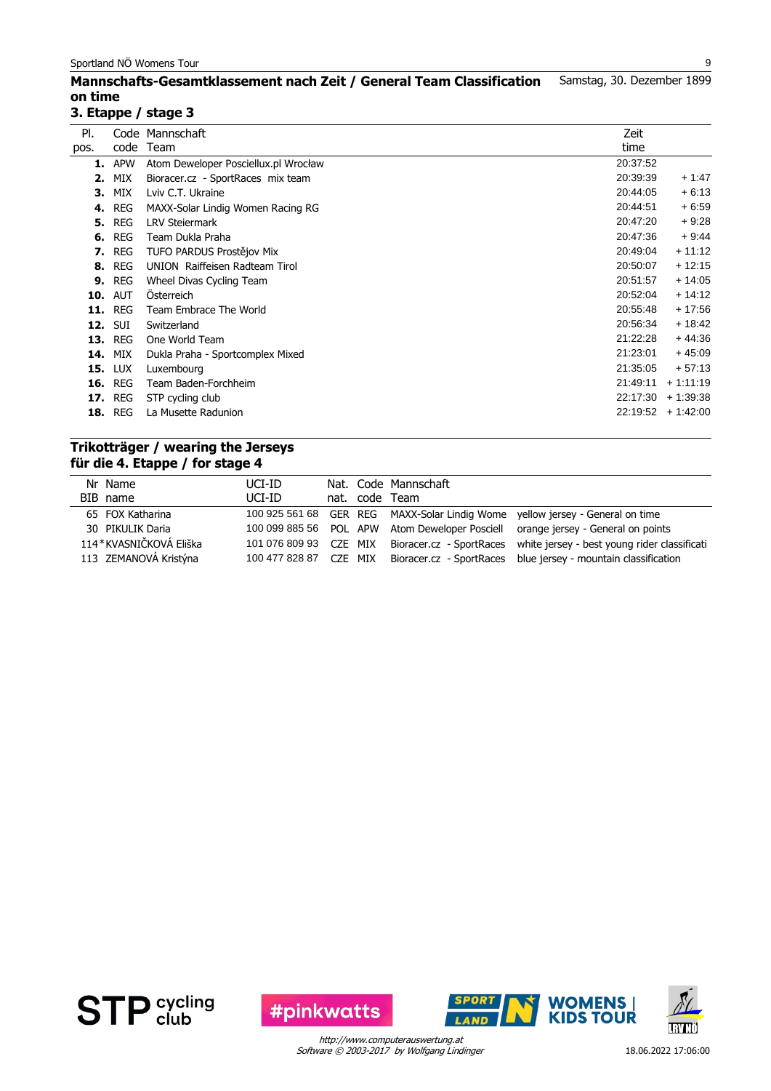#### **Mannschafts-Gesamtklassement nach Zeit / General Team Classification on time** Samstag, 30. Dezember 1899

# **3. Etappe / stage 3**

| PI.  |                | Code Mannschaft                      | Zeit     |            |
|------|----------------|--------------------------------------|----------|------------|
| pos. | code           | Team                                 | time     |            |
|      | <b>1.</b> APW  | Atom Deweloper Posciellux.pl Wrocław | 20:37:52 |            |
| 2.   | MIX            | Bioracer.cz - SportRaces mix team    | 20:39:39 | $+1.47$    |
| 3.   | MIX            | Lviv C.T. Ukraine                    | 20:44:05 | $+6:13$    |
| 4.   | <b>REG</b>     | MAXX-Solar Lindig Women Racing RG    | 20:44:51 | $+6.59$    |
|      | <b>5. REG</b>  | <b>LRV Steiermark</b>                | 20:47:20 | $+9.28$    |
|      | <b>6. REG</b>  | Team Dukla Praha                     | 20:47:36 | $+9.44$    |
|      | <b>7.</b> REG  | TUFO PARDUS Prostějov Mix            | 20:49:04 | $+11:12$   |
|      | <b>8. REG</b>  | UNION Raiffeisen Radteam Tirol       | 20:50:07 | $+12:15$   |
|      | <b>9. REG</b>  | Wheel Divas Cycling Team             | 20:51:57 | $+14:05$   |
|      | <b>10. AUT</b> | <b>Osterreich</b>                    | 20:52:04 | $+14:12$   |
|      | <b>11. REG</b> | Team Embrace The World               | 20:55:48 | $+17:56$   |
|      | <b>12. SUI</b> | Switzerland                          | 20:56:34 | $+18:42$   |
|      | <b>13. REG</b> | One World Team                       | 21:22:28 | $+44:36$   |
| 14.  | MIX            | Dukla Praha - Sportcomplex Mixed     | 21:23:01 | $+45:09$   |
|      | <b>15. LUX</b> | Luxembourg                           | 21:35:05 | $+57:13$   |
|      | <b>16. REG</b> | Team Baden-Forchheim                 | 21:49:11 | $+1:11:19$ |
|      | <b>17. REG</b> | STP cycling club                     | 22:17:30 | $+1:39:38$ |
|      | <b>18. REG</b> | La Musette Radunion                  | 22:19:52 | $+1.42:00$ |
|      |                |                                      |          |            |

# **Trikotträger / wearing the Jerseys für die 4. Etappe / for stage 4**

| Nr Name                | UCI-ID                 |         | Nat. Code Mannschaft |                                                                                  |
|------------------------|------------------------|---------|----------------------|----------------------------------------------------------------------------------|
|                        |                        |         |                      |                                                                                  |
| BIB name               | UCI-ID                 |         | nat. code Team       |                                                                                  |
| 65 FOX Katharina       |                        |         |                      | 100 925 561 68 GER REG MAXX-Solar Lindig Wome yellow jersey - General on time    |
| 30 PIKULIK Daria       |                        |         |                      | 100 099 885 56 POL APW Atom Deweloper Posciell orange jersey - General on points |
| 114*KVASNIČKOVÁ Eliška | 101 076 809 93 CZE MIX |         |                      | Bioracer.cz - SportRaces white jersey - best young rider classificati            |
| 113 ZEMANOVÁ Kristýna  | 100 477 828 87         | CZE MIX |                      | Bioracer.cz - SportRaces blue jersey - mountain classification                   |